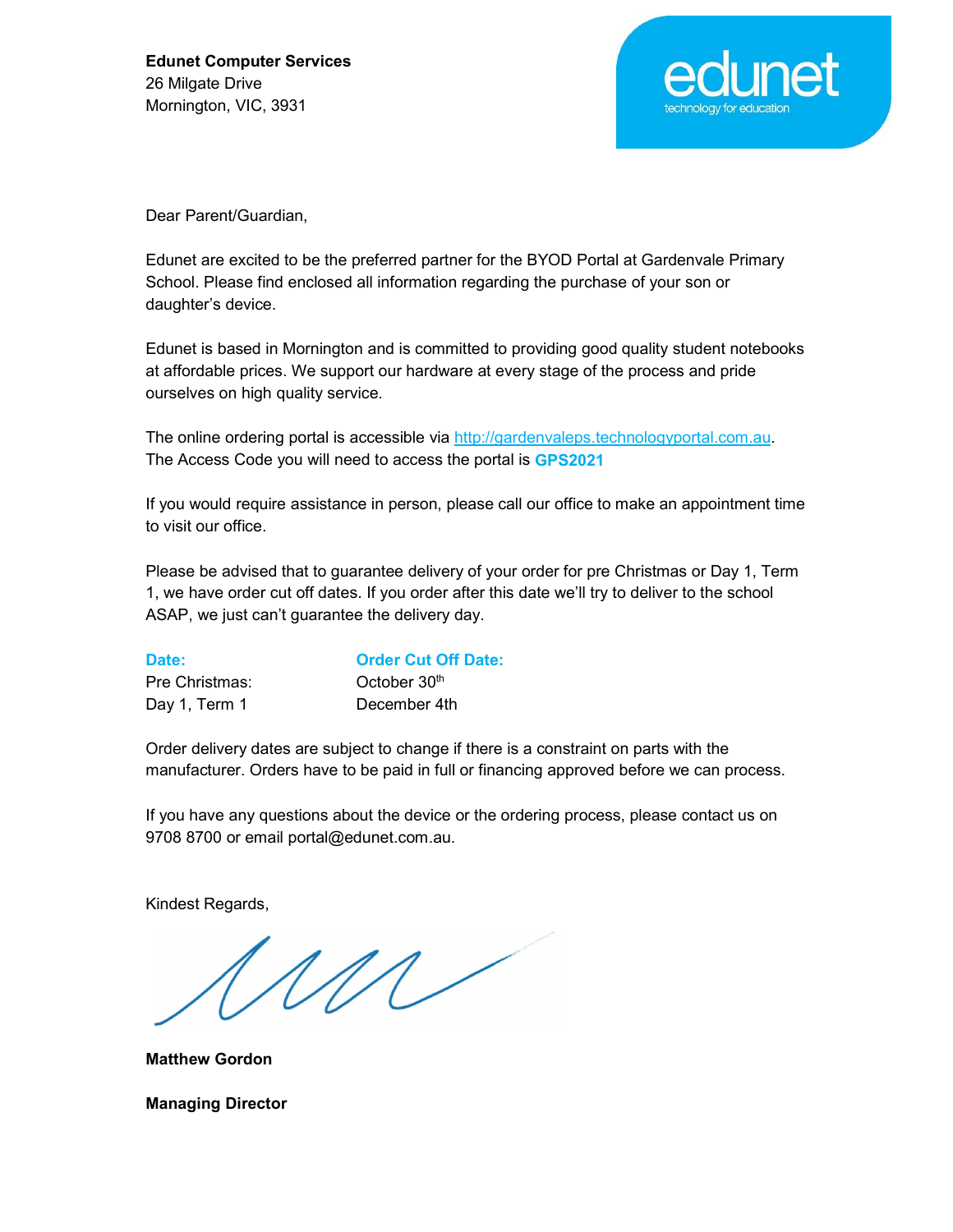

Dear Parent/Guardian,

Edunet are excited to be the preferred partner for the BYOD Portal at Gardenvale Primary School. Please find enclosed all information regarding the purchase of your son or daughter's device.

Edunet is based in Mornington and is committed to providing good quality student notebooks at affordable prices. We support our hardware at every stage of the process and pride ourselves on high quality service.

The online ordering portal is accessible via http://gardenvaleps.technologyportal.com.au.<br>The Access Code you will need to access the portal is GPS2021

If you would require assistance in person, please call our office to make an appointment time to visit our office.

Please be advised that to guarantee delivery of your order for pre Christmas or Day 1, Term 1, we have order cut off dates. If you order after this date we'll try to deliver to the school ASAP, we just can't guarantee the delivery day.

| Date:          | <b>Order Cut Off Date:</b> |
|----------------|----------------------------|
| Pre Christmas: | October 30 <sup>th</sup>   |
| Day 1, Term 1  | December 4th               |

Order delivery dates are subject to change if there is a constraint on parts with the manufacturer. Orders have to be paid in full or financing approved before we can process.

If you have any questions about the device or the ordering process, please contact us on 9708 8700 or email portal@edunet.com.au.

Kindest Regards,

M

Matthew Gordon

Managing Director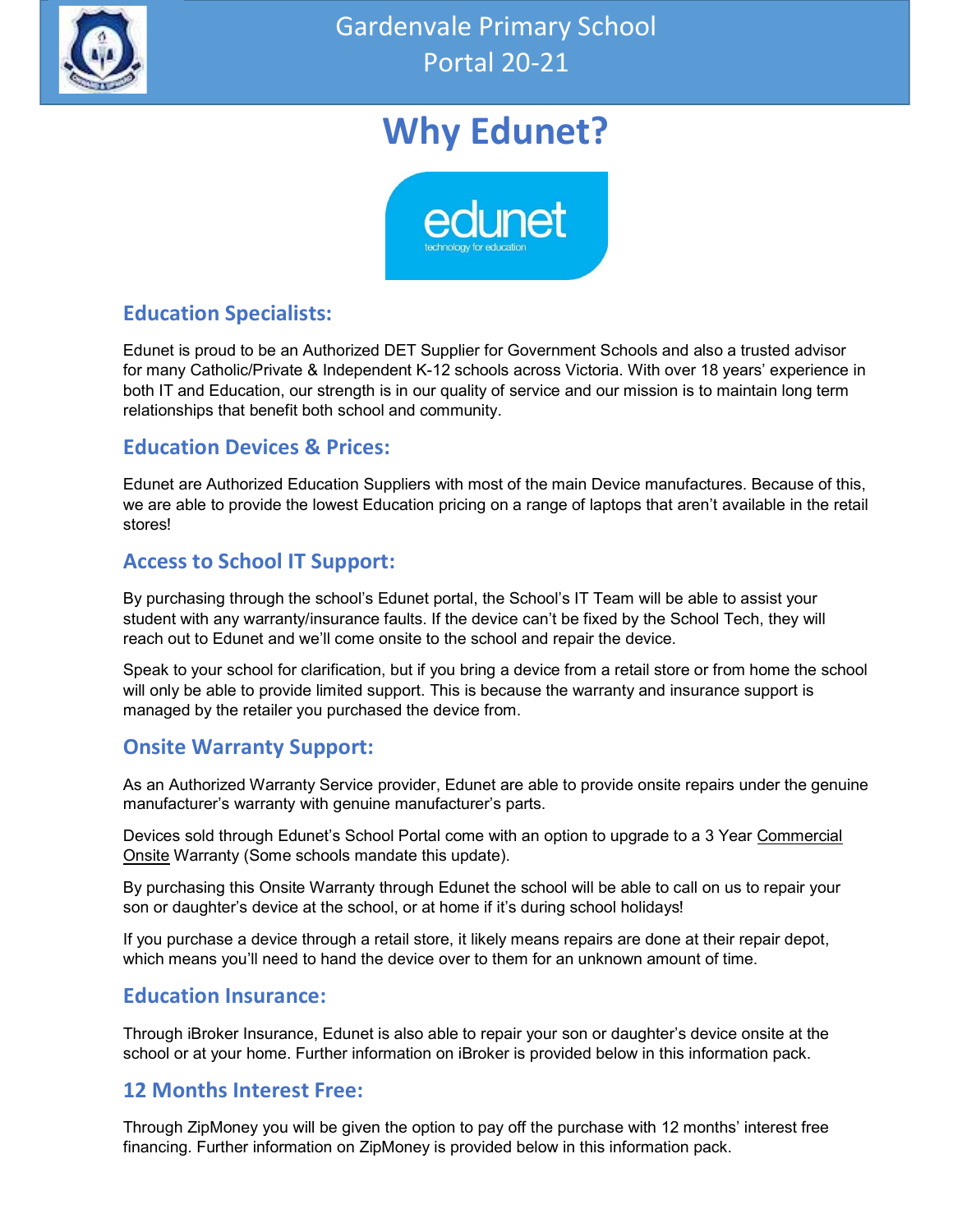

# Why Edunet?



### Education Specialists:

Edunet is proud to be an Authorized DET Supplier for Government Schools and also a trusted advisor for many Catholic/Private & Independent K-12 schools across Victoria. With over 18 years' experience in both IT and Education, our strength is in our quality of service and our mission is to maintain long term relationships that benefit both school and community.

### Education Devices & Prices:

Edunet are Authorized Education Suppliers with most of the main Device manufactures. Because of this, we are able to provide the lowest Education pricing on a range of laptops that aren't available in the retail stores!

### Access to School IT Support:

By purchasing through the school's Edunet portal, the School's IT Team will be able to assist your student with any warranty/insurance faults. If the device can't be fixed by the School Tech, they will reach out to Edunet and we'll come onsite to the school and repair the device.

Speak to your school for clarification, but if you bring a device from a retail store or from home the school will only be able to provide limited support. This is because the warranty and insurance support is managed by the retailer you purchased the device from.

### Onsite Warranty Support:

As an Authorized Warranty Service provider, Edunet are able to provide onsite repairs under the genuine manufacturer's warranty with genuine manufacturer's parts.

Devices sold through Edunet's School Portal come with an option to upgrade to a 3 Year Commercial Onsite Warranty (Some schools mandate this update).

By purchasing this Onsite Warranty through Edunet the school will be able to call on us to repair your son or daughter's device at the school, or at home if it's during school holidays!

If you purchase a device through a retail store, it likely means repairs are done at their repair depot, which means you'll need to hand the device over to them for an unknown amount of time.

#### Education Insurance:

Through iBroker Insurance, Edunet is also able to repair your son or daughter's device onsite at the school or at your home. Further information on iBroker is provided below in this information pack.

### 12 Months Interest Free:

Through ZipMoney you will be given the option to pay off the purchase with 12 months' interest free financing. Further information on ZipMoney is provided below in this information pack.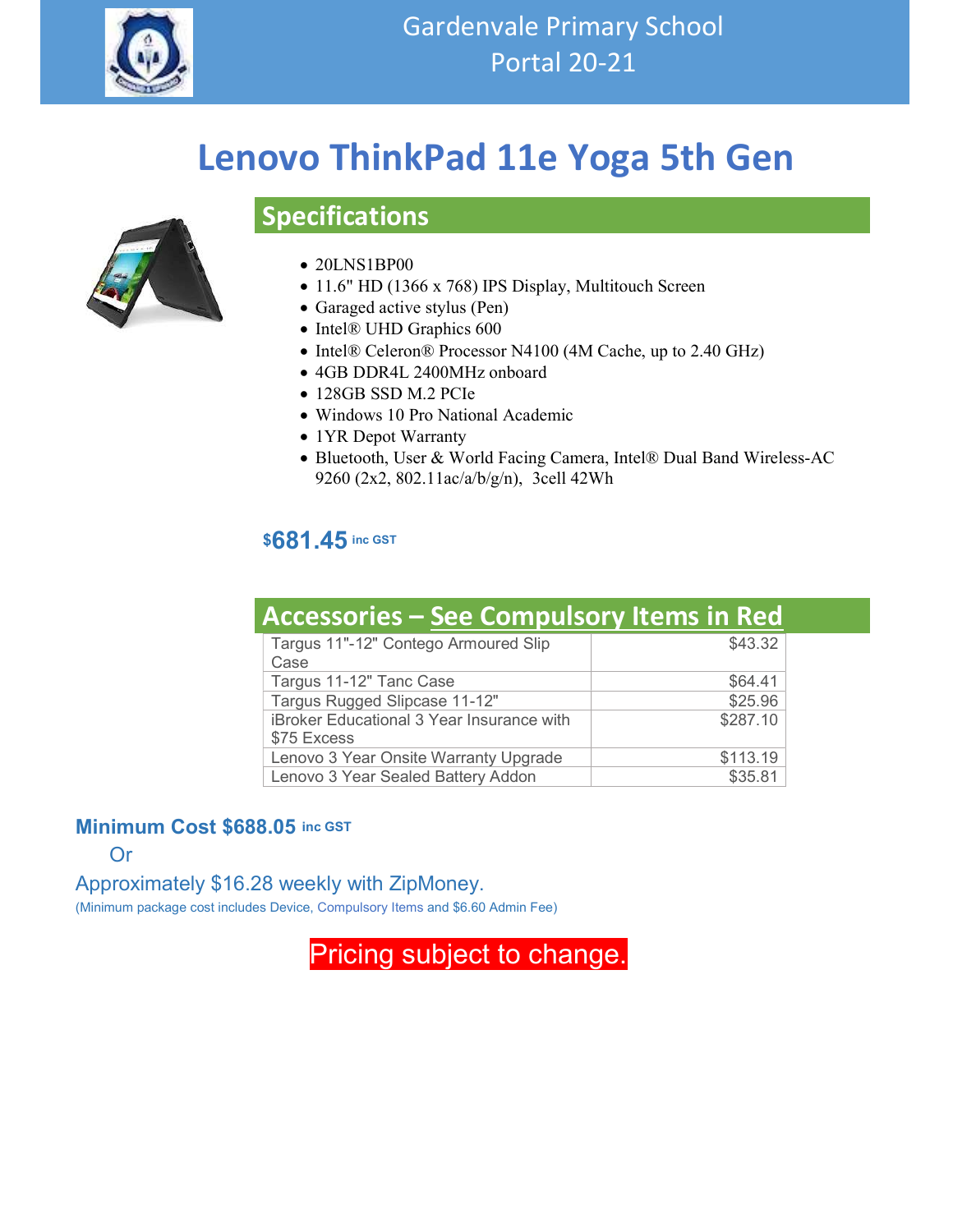

# Lenovo ThinkPad 11e Yoga 5th Gen

### 20LNS1BP00

Specifications

- 11.6" HD (1366 x 768) IPS Display, Multitouch Screen
- Garaged active stylus (Pen)
- Intel® UHD Graphics 600
- Intel® Celeron® Processor N4100 (4M Cache, up to 2.40 GHz)
- 4GB DDR4L 2400MHz onboard
- 128GB SSD M.2 PCIe
- Windows 10 Pro National Academic
- 1YR Depot Warranty
- Bluetooth, User & World Facing Camera, Intel® Dual Band Wireless-AC 9260 (2x2, 802.11ac/a/b/g/n), 3cell 42Wh

#### \$681.45 inc GST

| <b>Accessories - See Compulsory Items in Red</b>         |          |  |
|----------------------------------------------------------|----------|--|
| Targus 11"-12" Contego Armoured Slip<br>Case             | \$43.32  |  |
| Targus 11-12" Tanc Case                                  | \$64.41  |  |
| Targus Rugged Slipcase 11-12"                            | \$25.96  |  |
| iBroker Educational 3 Year Insurance with<br>\$75 Excess | \$287.10 |  |
| Lenovo 3 Year Onsite Warranty Upgrade                    | \$113.19 |  |
| Lenovo 3 Year Sealed Battery Addon                       | \$35.81  |  |

#### Minimum Cost \$688.05 inc GST

Or

#### Approximately \$16.28 weekly with ZipMoney.

(Minimum package cost includes Device, Compulsory Items and \$6.60 Admin Fee)

Pricing subject to change.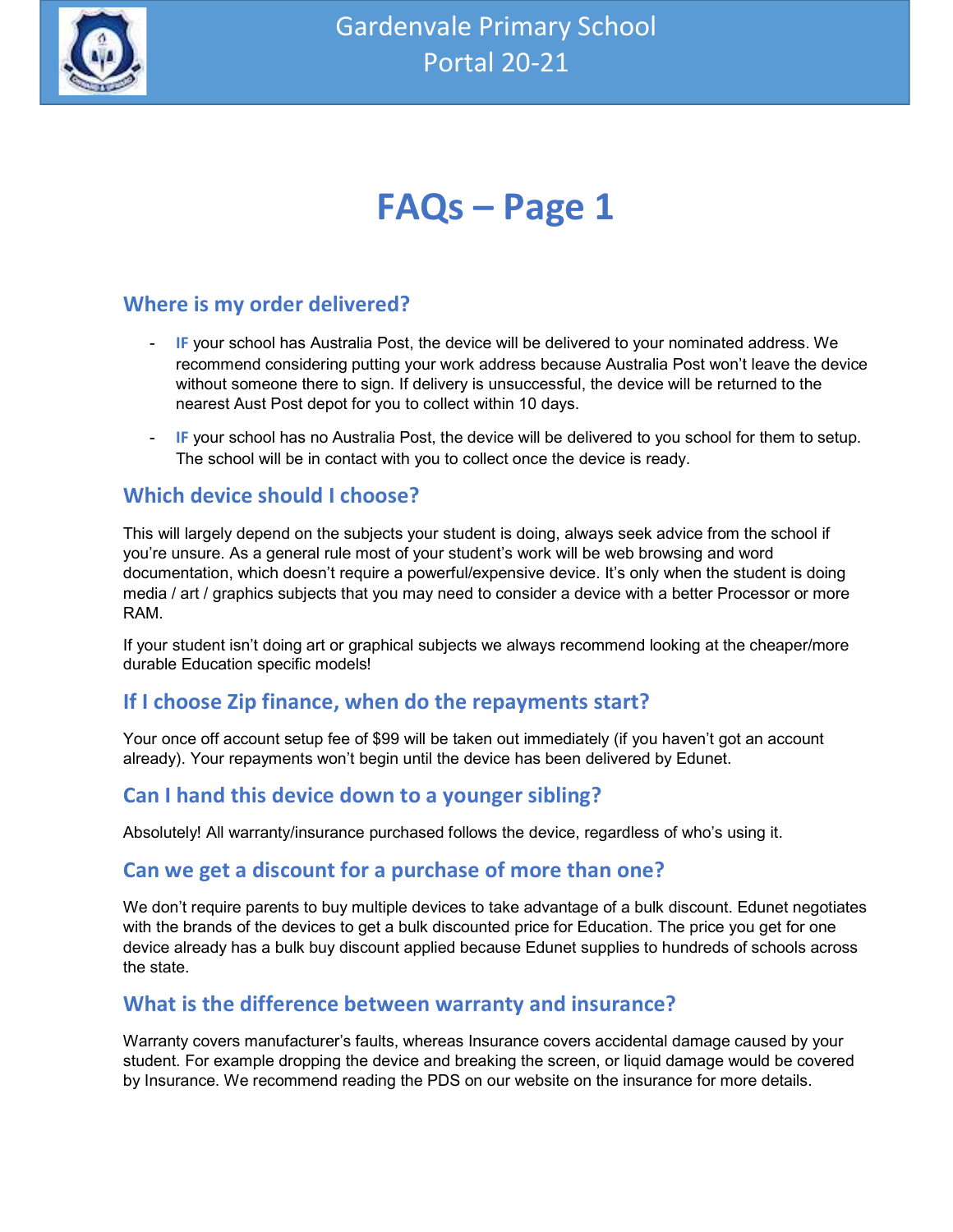

# FAQs – Page 1

### Where is my order delivered?

- **IF** your school has Australia Post, the device will be delivered to your nominated address. We recommend considering putting your work address because Australia Post won't leave the device without someone there to sign. If delivery is unsuccessful, the device will be returned to the nearest Aust Post depot for you to collect within 10 days.
- IF your school has no Australia Post, the device will be delivered to you school for them to setup. The school will be in contact with you to collect once the device is ready.

#### Which device should I choose?

This will largely depend on the subjects your student is doing, always seek advice from the school if you're unsure. As a general rule most of your student's work will be web browsing and word documentation, which doesn't require a powerful/expensive device. It's only when the student is doing media / art / graphics subjects that you may need to consider a device with a better Processor or more RAM.

If your student isn't doing art or graphical subjects we always recommend looking at the cheaper/more durable Education specific models!

#### If I choose Zip finance, when do the repayments start?

Your once off account setup fee of \$99 will be taken out immediately (if you haven't got an account already). Your repayments won't begin until the device has been delivered by Edunet.

### Can I hand this device down to a younger sibling?

Absolutely! All warranty/insurance purchased follows the device, regardless of who's using it.

#### Can we get a discount for a purchase of more than one?

We don't require parents to buy multiple devices to take advantage of a bulk discount. Edunet negotiates with the brands of the devices to get a bulk discounted price for Education. The price you get for one device already has a bulk buy discount applied because Edunet supplies to hundreds of schools across the state.

#### What is the difference between warranty and insurance?

Warranty covers manufacturer's faults, whereas Insurance covers accidental damage caused by your student. For example dropping the device and breaking the screen, or liquid damage would be covered by Insurance. We recommend reading the PDS on our website on the insurance for more details.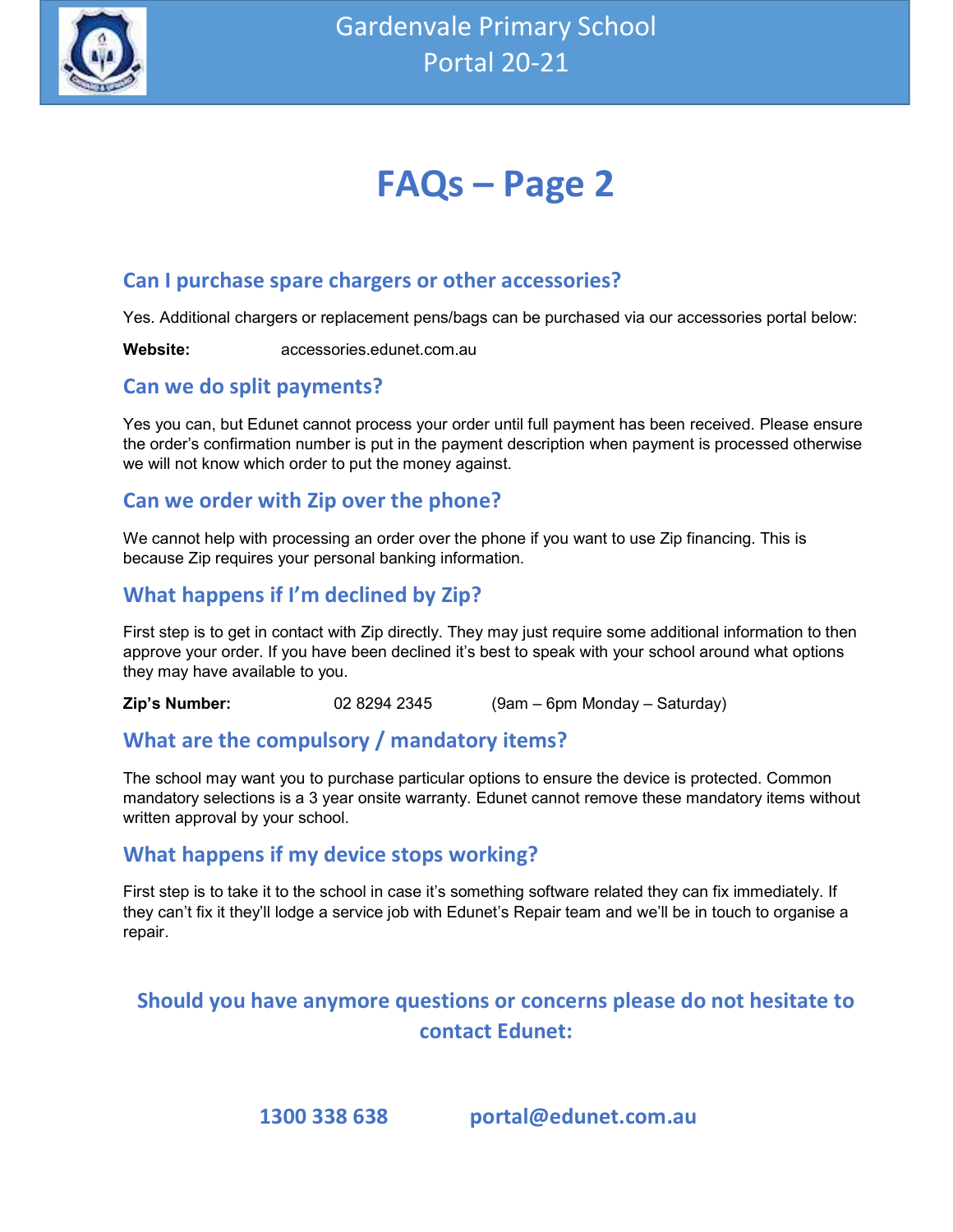

# FAQs – Page 2

### Can I purchase spare chargers or other accessories?

Yes. Additional chargers or replacement pens/bags can be purchased via our accessories portal below:

Website: accessories.edunet.com.au

#### Can we do split payments?

Yes you can, but Edunet cannot process your order until full payment has been received. Please ensure the order's confirmation number is put in the payment description when payment is processed otherwise we will not know which order to put the money against.

#### Can we order with Zip over the phone?

We cannot help with processing an order over the phone if you want to use Zip financing. This is because Zip requires your personal banking information.

### What happens if I'm declined by Zip?

First step is to get in contact with Zip directly. They may just require some additional information to then approve your order. If you have been declined it's best to speak with your school around what options they may have available to you.

**Zip's Number:**  $02\ 8294\ 2345$  (9am – 6pm Monday – Saturday)

### What are the compulsory / mandatory items?

The school may want you to purchase particular options to ensure the device is protected. Common mandatory selections is a 3 year onsite warranty. Edunet cannot remove these mandatory items without written approval by your school.

### What happens if my device stops working?

First step is to take it to the school in case it's something software related they can fix immediately. If they can't fix it they'll lodge a service job with Edunet's Repair team and we'll be in touch to organise a repair.

## Should you have anymore questions or concerns please do not hesitate to contact Edunet:

1300 338 638 portal@edunet.com.au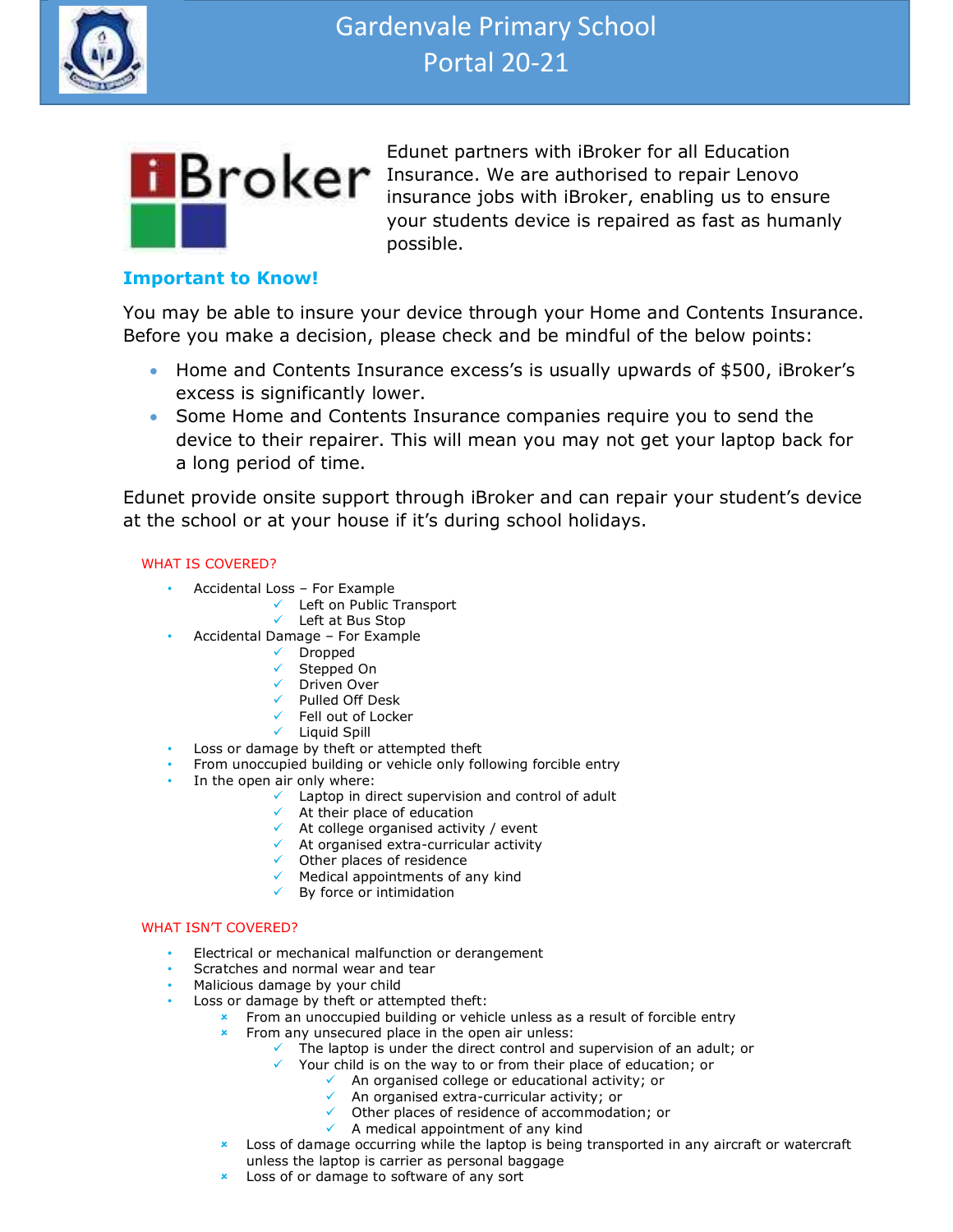



Edunet partners with iBroker for all Education **Insurance**. We are authorised to repair Lenovo insurance jobs with iBroker, enabling us to ensure your students device is repaired as fast as humanly possible.

#### Important to Know!

You may be able to insure your device through your Home and Contents Insurance. Before you make a decision, please check and be mindful of the below points:

- Home and Contents Insurance excess's is usually upwards of \$500, iBroker's excess is significantly lower.
- Some Home and Contents Insurance companies require you to send the device to their repairer. This will mean you may not get your laptop back for a long period of time.

Edunet provide onsite support through iBroker and can repair your student's device at the school or at your house if it's during school holidays.

#### WHAT IS COVERED?

- Accidental Loss For Example
	- $\checkmark$  Left on Public Transport
		- Left at Bus Stop
	- Accidental Damage For Example
		- $\checkmark$  Dropped
		- $\checkmark$  Stepped On
		- Driven Over
		- $\checkmark$  Pulled Off Desk
		- Fell out of Locker
		- $\checkmark$  Liquid Spill
- Loss or damage by theft or attempted theft
- From unoccupied building or vehicle only following forcible entry
- In the open air only where:
	- $\checkmark$  Laptop in direct supervision and control of adult
	- $\checkmark$  At their place of education
		- $\checkmark$  At college organised activity / event
		- $\checkmark$  At organised extra-curricular activity
		- $\checkmark$  Other places of residence
		- $\checkmark$  Medical appointments of any kind
		- $\checkmark$  By force or intimidation

#### WHAT ISN'T COVERED?

- Electrical or mechanical malfunction or derangement
- Scratches and normal wear and tear
- Scratches and normal your child
- Loss or damage by theft or attempted theft:
	- **\*** From an unoccupied building or vehicle unless as a result of forcible entry
	- From any unsecured place in the open air unless:
		- $\checkmark$  The laptop is under the direct control and supervision of an adult; or
			- Your child is on the way to or from their place of education; or
				- $\sqrt{ }$  An organised college or educational activity; or
					- $\sqrt{ }$  An organised extra-curricular activity; or
				- Other places of residence of accommodation; or
				- $\checkmark$  A medical appointment of any kind
	- Loss of damage occurring while the laptop is being transported in any aircraft or watercraft unless the laptop is carrier as personal baggage
	- $\star$  Loss of or damage to software of any sort